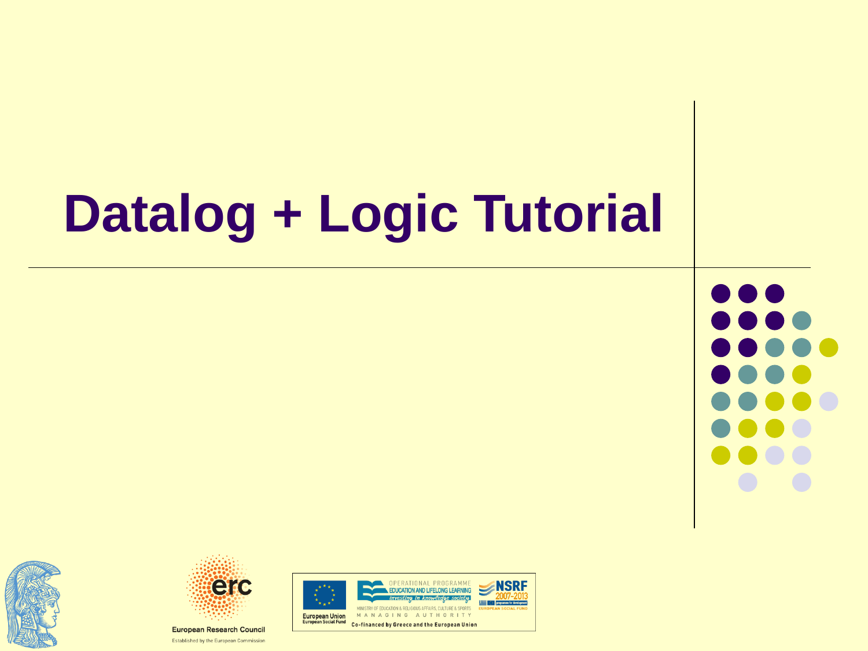# **Datalog + Logic Tutorial**







Established by the European Commission

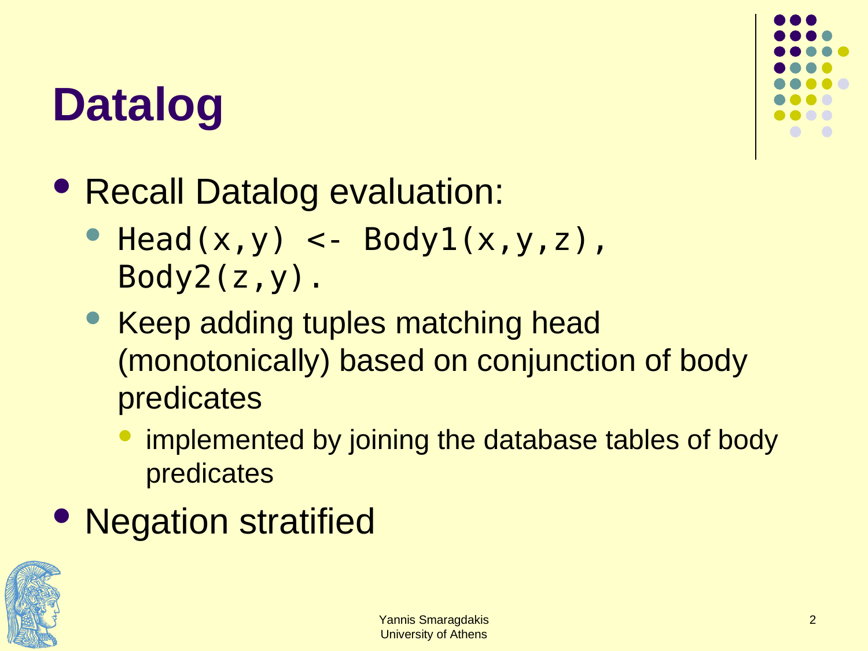#### **Datalog**



- Recall Datalog evaluation:
	- $\bullet$  Head(x,y) <- Body1(x,y,z), Body2(z,y).
	- Keep adding tuples matching head (monotonically) based on conjunction of body predicates
		- implemented by joining the database tables of body predicates
- Negation stratified

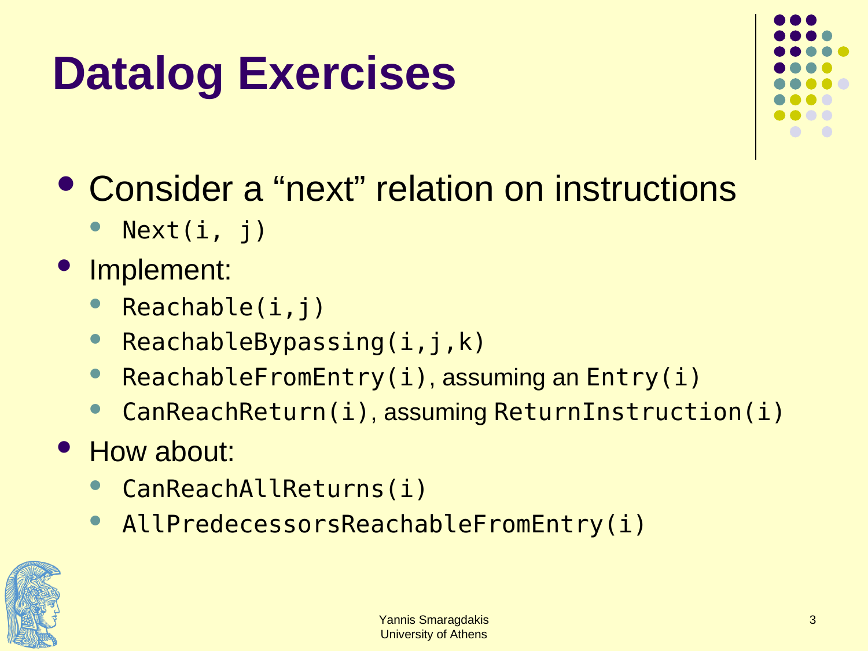#### **Datalog Exercises**



- Consider a "next" relation on instructions
	- Next(i, j)

#### **Implement:**

- Reachable(i,j)
- ReachableBypassing(i,j,k)
- ReachableFromEntry(i), assuming an Entry(i)
- CanReachReturn(i), assuming ReturnInstruction(i)
- How about:
	- CanReachAllReturns(i)
	- AllPredecessorsReachableFromEntry(i)

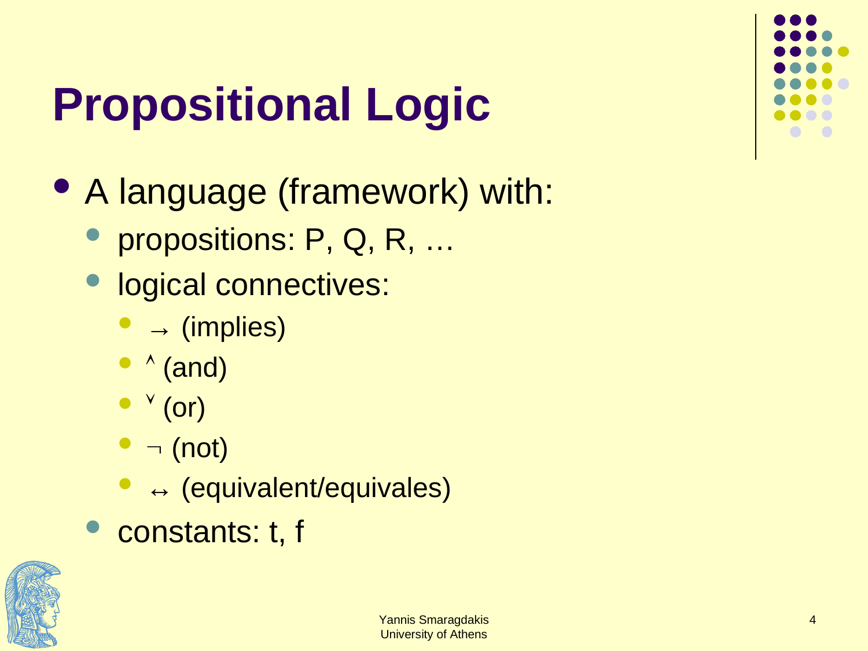## **Propositional Logic**

- A language (framework) with:
	- propositions: P, Q, R, …
	- logical connectives:
		- $\bullet \rightarrow$  (implies)
		- $\bullet \wedge$  (and)
		- $\bullet$   $\vee$  (or)
		- $\bullet$   $\neg$  (not)
		- ↔ (equivalent/equivales)
	- constants: t, f

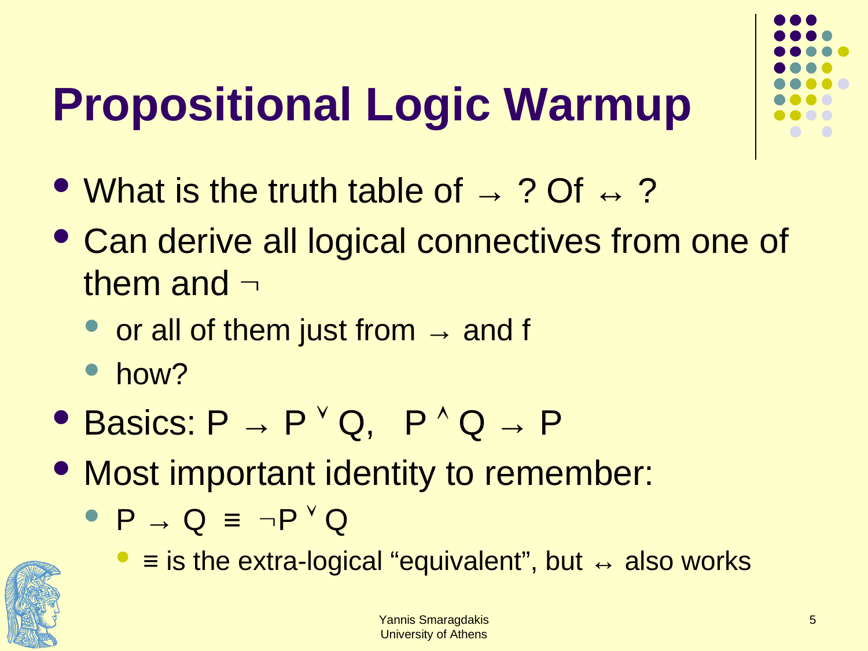## **Propositional Logic Warmup**

- What is the truth table of  $\rightarrow$  ? Of  $\leftrightarrow$  ?
- Can derive all logical connectives from one of them and  $\neg$ 
	- or all of them just from  $\rightarrow$  and f
	- how?
- Basics:  $P \rightarrow P^{\vee} Q$ ,  $P^{\wedge} Q \rightarrow P$
- Most important identity to remember:
	- $\bullet$  P  $\rightarrow$  Q  $\equiv \neg P$ <sup>V</sup> Q



 $\bullet$  = is the extra-logical "equivalent", but  $\leftrightarrow$  also works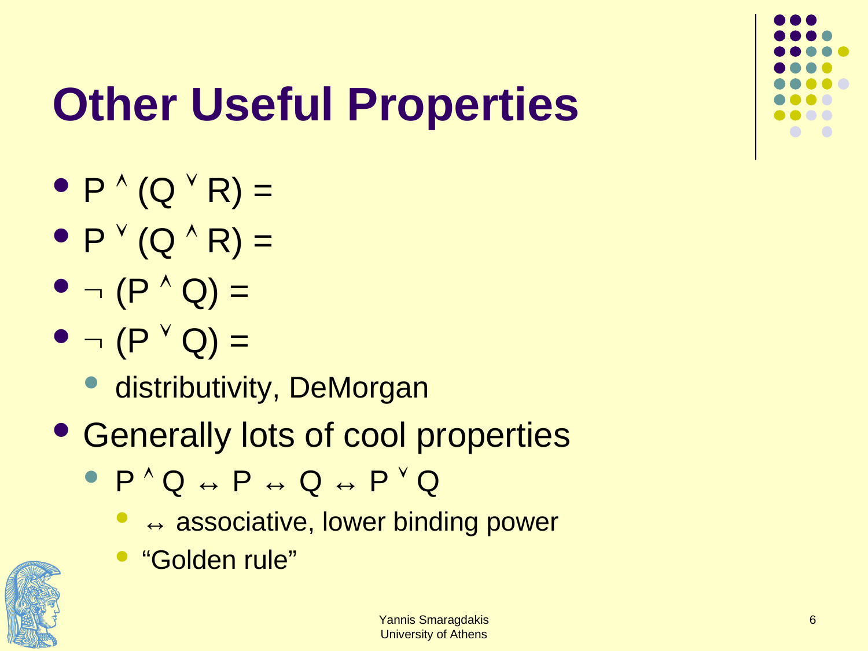

## **Other Useful Properties**

- $P^{\wedge} (Q^{\vee} R) =$
- $\bullet$  P  $\vee$  (Q  $\wedge$  R) =
- $\bullet$   $\neg$   $(P^{\wedge} Q) =$
- $\bullet$   $\neg$   $(P^{\vee} Q) =$ 
	- **· distributivity, DeMorgan**
- Generally lots of cool properties
	- $\bullet$  P  $\land$  Q  $\leftrightarrow$  P  $\leftrightarrow$  Q  $\leftrightarrow$  P  $\lor$  Q
		- $\bullet$  $\leftrightarrow$  associative, lower binding power
		- "Golden rule"

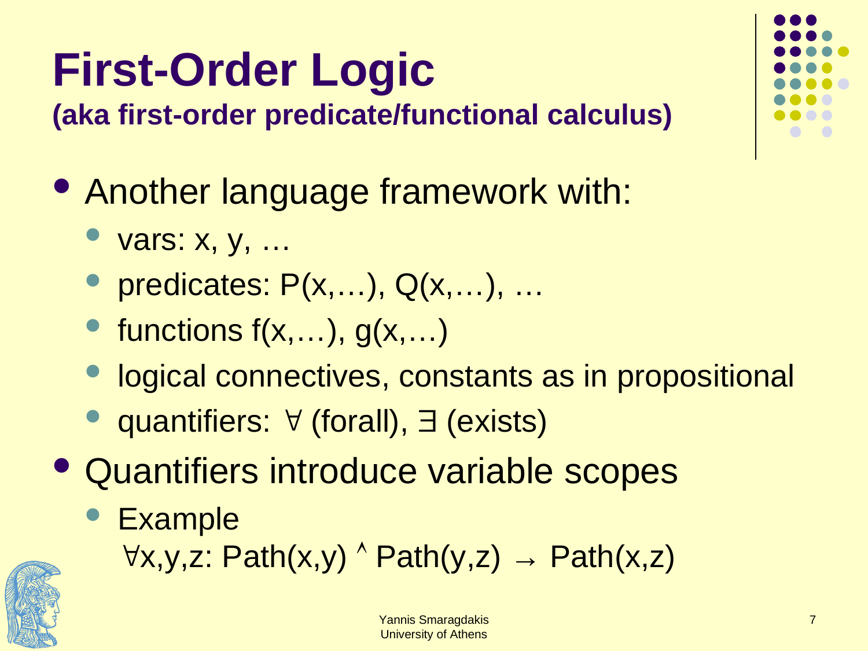## **First-Order Logic**

**(aka first-order predicate/functional calculus)**

- Another language framework with:
	- vars: x, y, …
	- predicates: P(x,…), Q(x,…), …
	- functions  $f(x,...), g(x,...)$
	- logical connectives, constants as in propositional
	- quantifiers:  $\forall$  (forall),  $\exists$  (exists)
- Quantifiers introduce variable scopes
	- **Example**

 $\forall x,y,z: Path(x,y) \land Path(y,z) \rightarrow Path(x,z)$ 



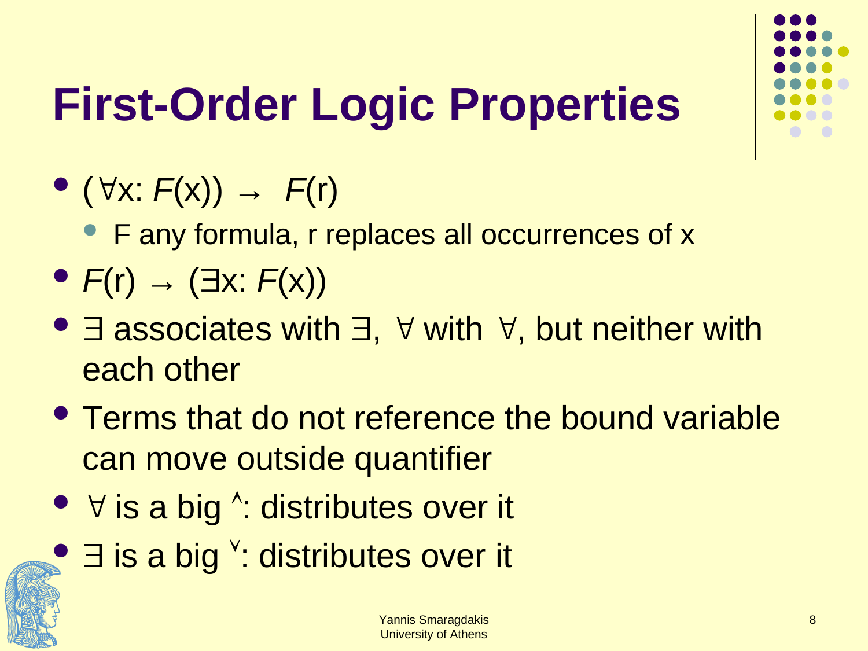

## **First-Order Logic Properties**

- $\bullet$  ( $\forall$ x:  $F(x)$ )  $\rightarrow$   $F(r)$ 
	- F any formula, r replaces all occurrences of x
- $\bullet$  *F*(r)  $\rightarrow$  ( $\exists$ x: *F*(x))
- $\exists$  associates with  $\exists$ ,  $\forall$  with  $\forall$ , but neither with each other
- Terms that do not reference the bound variable can move outside quantifier
- $\forall$  is a big  $\land$ : distributes over it
- $\bullet$   $\exists$  is a big  $\prime$ : distributes over it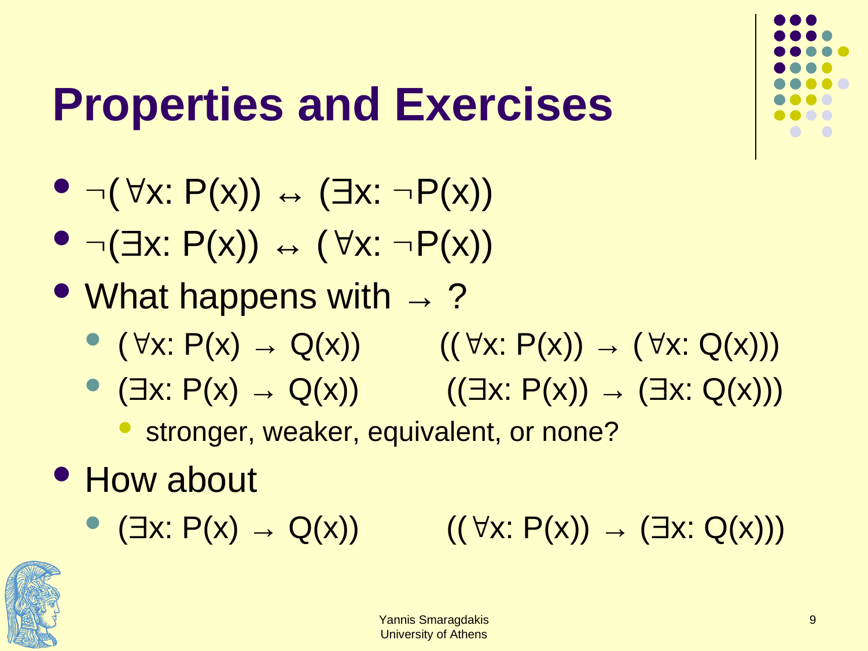#### **Properties and Exercises**

- $\bullet \neg (\forall x: P(x)) \leftrightarrow (\exists x: \neg P(x))$
- $\bullet \neg (\exists x: P(x)) \leftrightarrow (\forall x: \neg P(x))$
- What happens with  $\rightarrow$  ?
	- ( $\forall x: P(x) \rightarrow Q(x)$ ) (( $\forall x: P(x)$ ) → ( $\forall x: Q(x)$ ))
	- $\bullet$   $(\exists x: P(x) \rightarrow Q(x))$   $((\exists x: P(x)) \rightarrow (\exists x: Q(x)))$ 
		- stronger, weaker, equivalent, or none?
- How about
	- ( $\exists x: P(x) \rightarrow Q(x))$  (( $\forall x: P(x) \rightarrow (\exists x: Q(x)))$

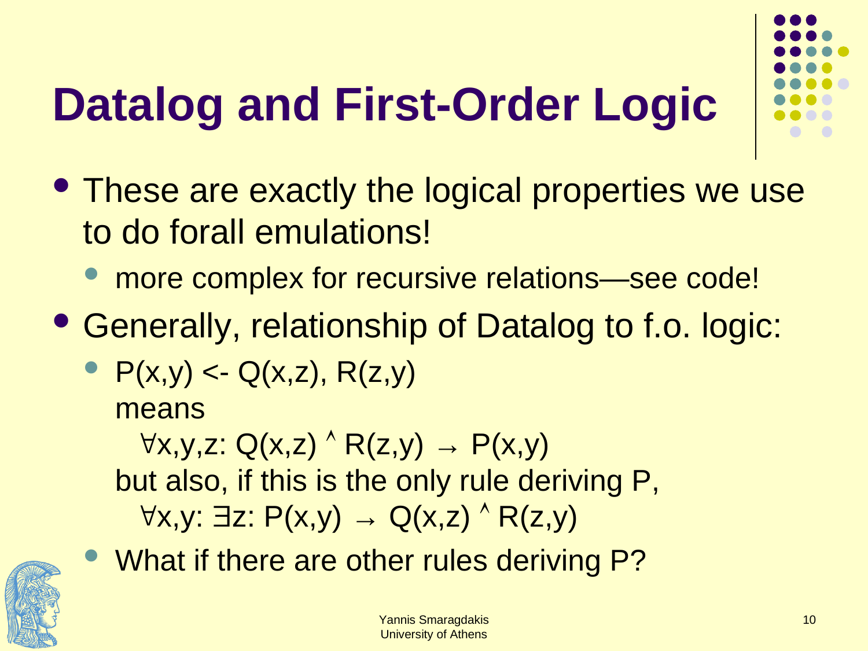## **Datalog and First-Order Logic**

- These are exactly the logical properties we use to do forall emulations!
	- more complex for recursive relations—see code!
- Generally, relationship of Datalog to f.o. logic:
	- $P(x,y) < Q(x,z)$ ,  $R(z,y)$ means  $\forall x,y,z: Q(x,z) \land R(z,y) \rightarrow P(x,y)$ but also, if this is the only rule deriving P,  $\forall x,y: \exists z: P(x,y) \rightarrow Q(x,z) \land R(z,y)$
	- What if there are other rules deriving P?

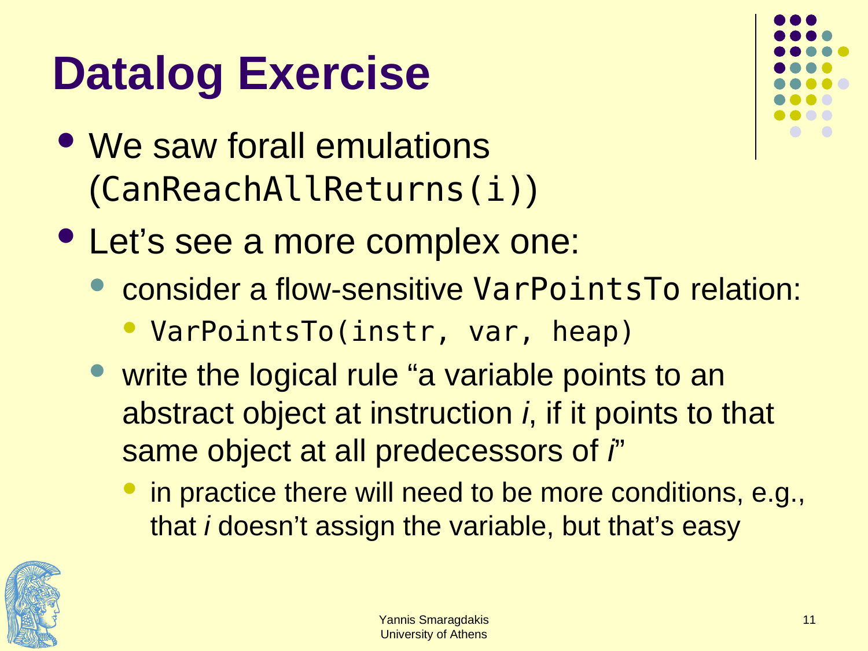#### **Datalog Exercise**

• We saw forall emulations (CanReachAllReturns(i))



- Let's see a more complex one:
	- consider a flow-sensitive VarPointsTo relation:
		- VarPointsTo(instr, var, heap)
	- write the logical rule "a variable points to an abstract object at instruction *i*, if it points to that same object at all predecessors of *i*"
		- in practice there will need to be more conditions, e.g., that *i* doesn't assign the variable, but that's easy